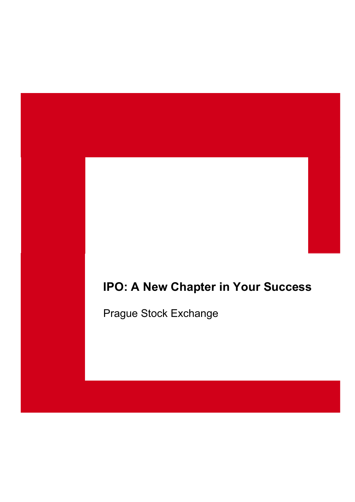# **IPO: A New Chapter in Your Success**

Prague Stock Exchange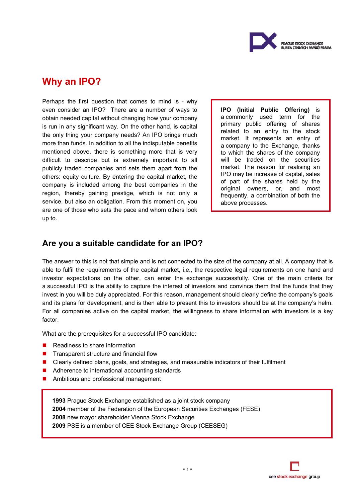

## **Why an IPO?**

Perhaps the first question that comes to mind is - why even consider an IPO? There are a number of ways to obtain needed capital without changing how your company is run in any significant way. On the other hand, is capital the only thing your company needs? An IPO brings much more than funds. In addition to all the indisputable benefits mentioned above, there is something more that is very difficult to describe but is extremely important to all publicly traded companies and sets them apart from the others: equity culture. By entering the capital market, the company is included among the best companies in the region, thereby gaining prestige, which is not only a service, but also an obligation. From this moment on, you are one of those who sets the pace and whom others look up to.

**IPO (Initial Public Offering)** is a commonly used term for the primary public offering of shares related to an entry to the stock market. It represents an entry of a company to the Exchange, thanks to which the shares of the company will be traded on the securities market. The reason for realising an IPO may be increase of capital, sales of part of the shares held by the original owners, or, and most frequently, a combination of both the above processes.

### **Are you a suitable candidate for an IPO?**

The answer to this is not that simple and is not connected to the size of the company at all. A company that is able to fulfil the requirements of the capital market, i.e., the respective legal requirements on one hand and investor expectations on the other, can enter the exchange successfully. One of the main criteria for a successful IPO is the ability to capture the interest of investors and convince them that the funds that they invest in you will be duly appreciated. For this reason, management should clearly define the company's goals and its plans for development, and is then able to present this to investors should be at the company's helm. For all companies active on the capital market, the willingness to share information with investors is a key factor.

What are the prerequisites for a successful IPO candidate:

- Readiness to share information
- $\blacksquare$  Transparent structure and financial flow
- Clearly defined plans, goals, and strategies, and measurable indicators of their fulfilment
- Adherence to international accounting standards
- **Ambitious and professional management**

Prague Stock Exchange established as a joint stock company member of the Federation of the European Securities Exchanges (FESE) new mayor shareholder Vienna Stock Exchange PSE is a member of CEE Stock Exchange Group (CEESEG)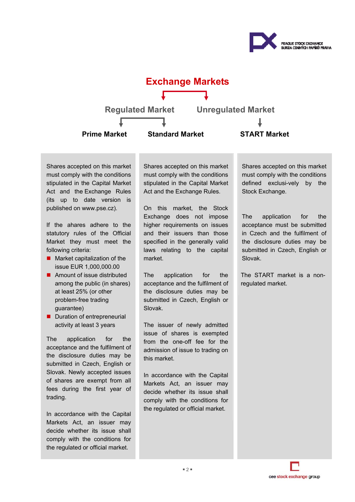



Shares accepted on this market must comply with the conditions stipulated in the Capital Market Act and the Exchange Rules (its up to date version is published on www.pse.cz).

If the ahares adhere to the statutory rules of the Official Market they must meet the following criteria:

- $\blacksquare$  Market capitalization of the issue EUR 1,000,000.00
- Amount of issue distributed among the public (in shares) at least 25% (or other problem-free trading guarantee)
- Duration of entrepreneurial activity at least 3 years

The application for the acceptance and the fulfilment of the disclosure duties may be submitted in Czech, English or Slovak. Newly accepted issues of shares are exempt from all fees during the first year of trading.

In accordance with the Capital Markets Act, an issuer may decide whether its issue shall comply with the conditions for the regulated or official market.

Shares accepted on this market must comply with the conditions stipulated in the Capital Market Act and the Exchange Rules.

On this market, the Stock Exchange does not impose higher requirements on issues and their issuers than those specified in the generally valid laws relating to the capital market.

The application for the acceptance and the fulfilment of the disclosure duties may be submitted in Czech, English or Slovak.

The issuer of newly admitted issue of shares is exempted from the one-off fee for the admission of issue to trading on this market.

In accordance with the Capital Markets Act, an issuer may decide whether its issue shall comply with the conditions for the regulated or official market.

Shares accepted on this market must comply with the conditions defined exclusi-vely by the Stock Exchange.

The application for the acceptance must be submitted in Czech and the fulfilment of the disclosure duties may be submitted in Czech, English or Slovak.

The START market is a nonregulated market.

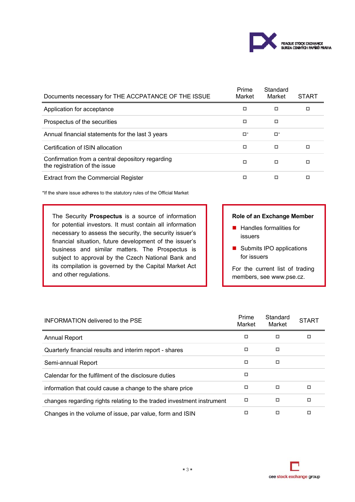

| Documents necessary for THE ACCPATANCE OF THE ISSUE                               | Prime<br>Market | Standard<br>Market | <b>START</b> |
|-----------------------------------------------------------------------------------|-----------------|--------------------|--------------|
| Application for acceptance                                                        | □               | □                  | □            |
| Prospectus of the securities                                                      | □               | □                  |              |
| Annual financial statements for the last 3 years                                  | □*              | $\Box^*$           |              |
| Certification of ISIN allocation                                                  | □               | □                  | □            |
| Confirmation from a central depository regarding<br>the registration of the issue | о               | □                  | □            |
| <b>Extract from the Commercial Register</b>                                       |                 | ◻                  | □            |

\*If the share issue adheres to the statutory rules of the Official Market

The Security **Prospectus** is a source of information for potential investors. It must contain all information necessary to assess the security, the security issuer's financial situation, future development of the issuer's business and similar matters. The Prospectus is subject to approval by the Czech National Bank and its compilation is governed by the Capital Market Act and other regulations.

#### **Role of an Exchange Member**

- $\blacksquare$  Handles formalities for issuers
- Submits IPO applications for issuers

For the current list of trading members, see www.pse.cz.

| INFORMATION delivered to the PSE                                      | Prime<br>Market | Standard<br>Market | <b>START</b> |
|-----------------------------------------------------------------------|-----------------|--------------------|--------------|
| <b>Annual Report</b>                                                  | о               | □                  | □            |
| Quarterly financial results and interim report - shares               | □               | □                  |              |
| Semi-annual Report                                                    | □               | □                  |              |
| Calendar for the fulfilment of the disclosure duties                  | □               |                    |              |
| information that could cause a change to the share price              | □               | ▫                  | □            |
| changes regarding rights relating to the traded investment instrument | □               | □                  | □            |
| Changes in the volume of issue, par value, form and ISIN              | п               | □                  | □            |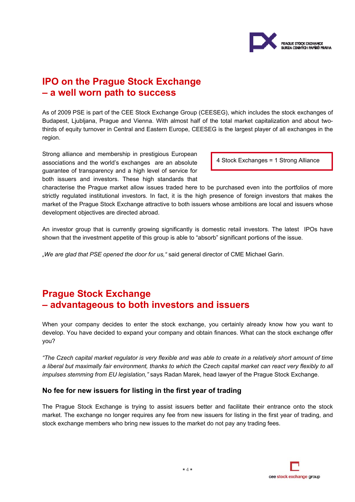

# **IPO on the Prague Stock Exchange – a well worn path to success**

As of 2009 PSE is part of the CEE Stock Exchange Group (CEESEG), which includes the stock exchanges of Budapest, Ljubljana, Prague and Vienna. With almost half of the total market capitalization and about twothirds of equity turnover in Central and Eastern Europe, CEESEG is the largest player of all exchanges in the region.

Strong alliance and membership in prestigious European associations and the world's exchanges are an absolute guarantee of transparency and a high level of service for both issuers and investors. These high standards that

4 Stock Exchanges = 1 Strong Alliance

characterise the Prague market allow issues traded here to be purchased even into the portfolios of more strictly regulated institutional investors. In fact, it is the high presence of foreign investors that makes the market of the Prague Stock Exchange attractive to both issuers whose ambitions are local and issuers whose development objectives are directed abroad.

An investor group that is currently growing significantly is domestic retail investors. The latest IPOs have shown that the investment appetite of this group is able to "absorb" significant portions of the issue.

*"We are glad that PSE opened the door for us,"* said general director of CME Michael Garin.

# **Prague Stock Exchange – advantageous to both investors and issuers**

When your company decides to enter the stock exchange, you certainly already know how you want to develop. You have decided to expand your company and obtain finances. What can the stock exchange offer you?

*"The Czech capital market regulator is very flexible and was able to create in a relatively short amount of time a liberal but maximally fair environment, thanks to which the Czech capital market can react very flexibly to all impulses stemming from EU legislation,"* says Radan Marek, head lawyer of the Prague Stock Exchange.

### **No fee for new issuers for listing in the first year of trading**

The Prague Stock Exchange is trying to assist issuers better and facilitate their entrance onto the stock market. The exchange no longer requires any fee from new issuers for listing in the first year of trading, and stock exchange members who bring new issues to the market do not pay any trading fees.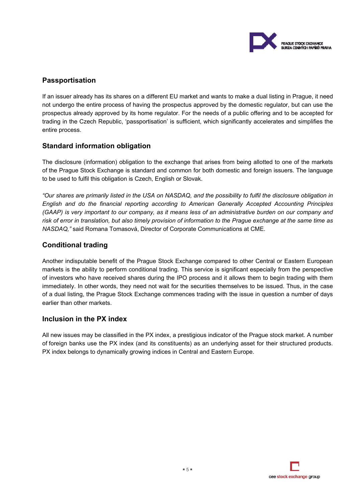

### **Passportisation**

If an issuer already has its shares on a different EU market and wants to make a dual listing in Prague, it need not undergo the entire process of having the prospectus approved by the domestic regulator, but can use the prospectus already approved by its home regulator. For the needs of a public offering and to be accepted for trading in the Czech Republic, 'passportisation' is sufficient, which significantly accelerates and simplifies the entire process.

### **Standard information obligation**

The disclosure (information) obligation to the exchange that arises from being allotted to one of the markets of the Prague Stock Exchange is standard and common for both domestic and foreign issuers. The language to be used to fulfil this obligation is Czech, English or Slovak.

*"Our shares are primarily listed in the USA on NASDAQ, and the possibility to fulfil the disclosure obligation in English and do the financial reporting according to American Generally Accepted Accounting Principles (GAAP) is very important to our company, as it means less of an administrative burden on our company and risk of error in translation, but also timely provision of information to the Prague exchange at the same time as NASDAQ,"* said Romana Tomasová, Director of Corporate Communications at CME.

### **Conditional trading**

Another indisputable benefit of the Prague Stock Exchange compared to other Central or Eastern European markets is the ability to perform conditional trading. This service is significant especially from the perspective of investors who have received shares during the IPO process and it allows them to begin trading with them immediately. In other words, they need not wait for the securities themselves to be issued. Thus, in the case of a dual listing, the Prague Stock Exchange commences trading with the issue in question a number of days earlier than other markets.

### **Inclusion in the PX index**

All new issues may be classified in the PX index, a prestigious indicator of the Prague stock market. A number of foreign banks use the PX index (and its constituents) as an underlying asset for their structured products. PX index belongs to dynamically growing indices in Central and Eastern Europe.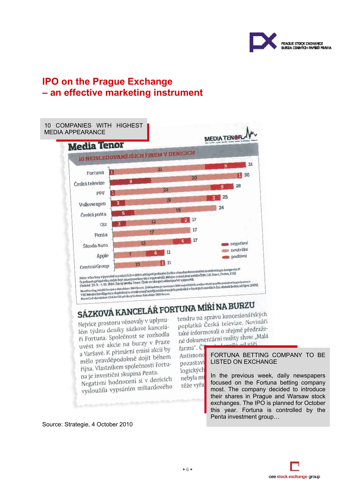

# **IPO on the Prague Exchange – an effective marketing instrument**



Source: Strategie, 4 October 2010

FORTUNA BETTING COMPANY TO BE LISTED ON EXCHANGE

In the previous week, daily newspapers focused on the Fortuna betting company most. The company decided to introduce their shares in Prague and Warsaw stock exchanges. The IPO is planned for October this year. Fortuna is controlled by the Penta investment group…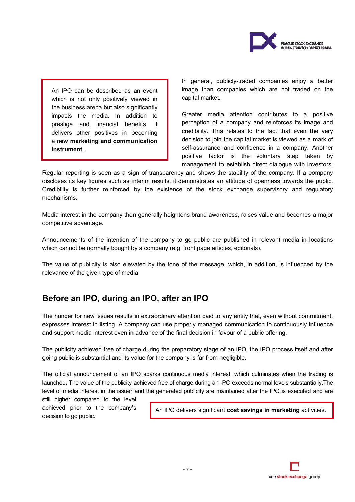

An IPO can be described as an event which is not only positively viewed in the business arena but also significantly impacts the media. In addition to prestige and financial benefits, it delivers other positives in becoming a **new marketing and communication instrument**.

In general, publicly-traded companies enjoy a better image than companies which are not traded on the capital market.

Greater media attention contributes to a positive perception of a company and reinforces its image and credibility. This relates to the fact that even the very decision to join the capital market is viewed as a mark of self-assurance and confidence in a company. Another positive factor is the voluntary step taken by management to establish direct dialogue with investors.

Regular reporting is seen as a sign of transparency and shows the stability of the company. If a company discloses its key figures such as interim results, it demonstrates an attitude of openness towards the public. Credibility is further reinforced by the existence of the stock exchange supervisory and regulatory mechanisms.

Media interest in the company then generally heightens brand awareness, raises value and becomes a major competitive advantage.

Announcements of the intention of the company to go public are published in relevant media in locations which cannot be normally bought by a company (e.g. front page articles, editorials).

The value of publicity is also elevated by the tone of the message, which, in addition, is influenced by the relevance of the given type of media.

### **Before an IPO, during an IPO, after an IPO**

The hunger for new issues results in extraordinary attention paid to any entity that, even without commitment, expresses interest in listing. A company can use properly managed communication to continuously influence and support media interest even in advance of the final decision in favour of a public offering.

The publicity achieved free of charge during the preparatory stage of an IPO, the IPO process itself and after going public is substantial and its value for the company is far from negligible.

The official announcement of an IPO sparks continuous media interest, which culminates when the trading is launched. The value of the publicity achieved free of charge during an IPO exceeds normal levels substantially.The level of media interest in the issuer and the generated publicity are maintained after the IPO is executed and are

still higher compared to the level achieved prior to the company's decision to go public.

An IPO delivers significant **cost savings in marketing** activities.

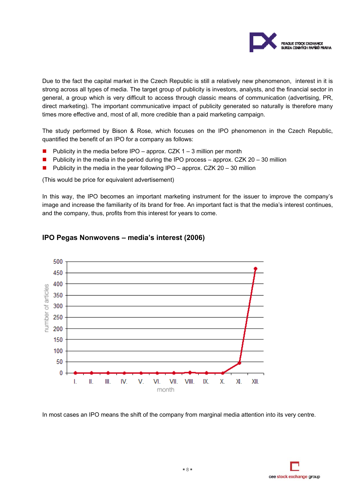

Due to the fact the capital market in the Czech Republic is still a relatively new phenomenon, interest in it is strong across all types of media. The target group of publicity is investors, analysts, and the financial sector in general, a group which is very difficult to access through classic means of communication (advertising, PR, direct marketing). The important communicative impact of publicity generated so naturally is therefore many times more effective and, most of all, more credible than a paid marketing campaign.

The study performed by Bison & Rose, which focuses on the IPO phenomenon in the Czech Republic, quantified the benefit of an IPO for a company as follows:

- **Publicity in the media before IPO approx. CZK 1 3 million per month**
- **Publicity in the media in the period during the IPO process approx. CZK 20 30 million**
- **Publicity in the media in the year following IPO** approx. CZK 20 30 million

(This would be price for equivalent advertisement)

In this way, the IPO becomes an important marketing instrument for the issuer to improve the company's image and increase the familiarity of its brand for free. An important fact is that the media's interest continues, and the company, thus, profits from this interest for years to come.



#### **IPO Pegas Nonwovens – media's interest (2006)**

In most cases an IPO means the shift of the company from marginal media attention into its very centre.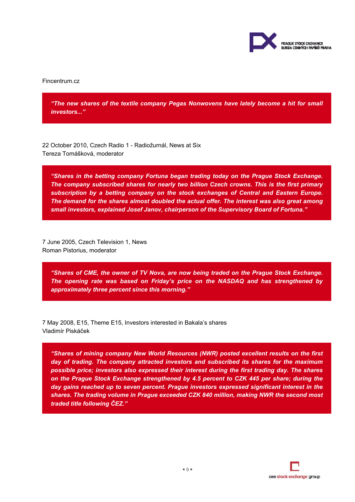

Fincentrum.cz

*"The new shares of the textile company Pegas Nonwovens have lately become a hit for small investors..."* 

22 October 2010, Czech Radio 1 - Radiožurnál, News at Six Tereza Tomášková, moderator

*"Shares in the betting company Fortuna began trading today on the Prague Stock Exchange. The company subscribed shares for nearly two billion Czech crowns. This is the first primary subscription by a betting company on the stock exchanges of Central and Eastern Europe. The demand for the shares almost doubled the actual offer. The interest was also great among small investors, explained Josef Janov, chairperson of the Supervisory Board of Fortuna."* 

7 June 2005, Czech Television 1, News Roman Pistorius, moderator

*"Shares of CME, the owner of TV Nova, are now being traded on the Prague Stock Exchange. The opening rate was based on Friday's price on the NASDAQ and has strengthened by approximately three percent since this morning."* 

7 May 2008, E15, Theme E15, Investors interested in Bakala's shares Vladimír Piskáček

*"Shares of mining company New World Resources (NWR) posted excellent results on the first day of trading. The company attracted investors and subscribed its shares for the maximum possible price; investors also expressed their interest during the first trading day. The shares on the Prague Stock Exchange strengthened by 4.5 percent to CZK 445 per share; during the day gains reached up to seven percent. Prague investors expressed significant interest in the shares. The trading volume in Prague exceeded CZK 840 million, making NWR the second most traded title following ČEZ."* 

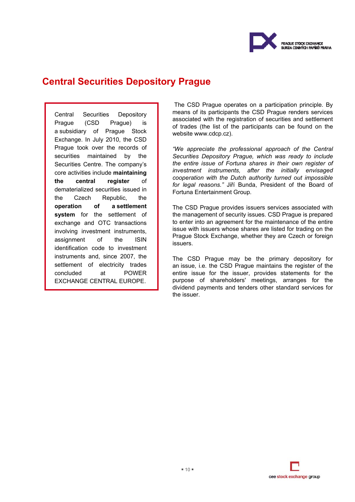

# **Central Securities Depository Prague**

Central Securities Depository Prague (CSD Prague) is a subsidiary of Prague Stock Exchange. In July 2010, the CSD Prague took over the records of securities maintained by the Securities Centre. The company's core activities include **maintaining the central register** of dematerialized securities issued in the Czech Republic, the **operation of a settlement system** for the settlement of exchange and OTC transactions involving investment instruments, assignment of the ISIN identification code to investment instruments and, since 2007, the settlement of electricity trades concluded at POWER EXCHANGE CENTRAL EUROPE.

The CSD Prague operates on a participation principle. By means of its participants the CSD Prague renders services associated with the registration of securities and settlement of trades (the list of the participants can be found on the website www.cdcp.cz).

*"We appreciate the professional approach of the Central Securities Depository Prague, which was ready to include the entire issue of Fortuna shares in their own register of investment instruments, after the initially envisaged cooperation with the Dutch authority turned out impossible for legal reasons."* Jiří Bunda, President of the Board of Fortuna Entertainment Group*.*

The CSD Prague provides issuers services associated with the management of security issues. CSD Prague is prepared to enter into an agreement for the maintenance of the entire issue with issuers whose shares are listed for trading on the Prague Stock Exchange, whether they are Czech or foreign issuers.

The CSD Prague may be the primary depository for an issue, i.e. the CSD Prague maintains the register of the entire issue for the issuer, provides statements for the purpose of shareholders' meetings, arranges for the dividend payments and tenders other standard services for the issuer.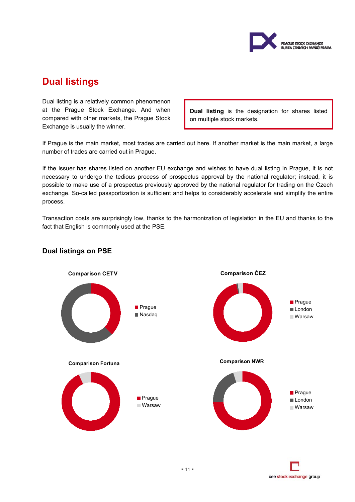

# **Dual listings**

Dual listing is a relatively common phenomenon at the Prague Stock Exchange. And when compared with other markets, the Prague Stock Exchange is usually the winner.

**Dual listing** is the designation for shares listed on multiple stock markets.

If Prague is the main market, most trades are carried out here. If another market is the main market, a large number of trades are carried out in Prague.

If the issuer has shares listed on another EU exchange and wishes to have dual listing in Prague, it is not necessary to undergo the tedious process of prospectus approval by the national regulator; instead, it is possible to make use of a prospectus previously approved by the national regulator for trading on the Czech exchange. So-called passportization is sufficient and helps to considerably accelerate and simplify the entire process.

Transaction costs are surprisingly low, thanks to the harmonization of legislation in the EU and thanks to the fact that English is commonly used at the PSE.



### **Dual listings on PSE**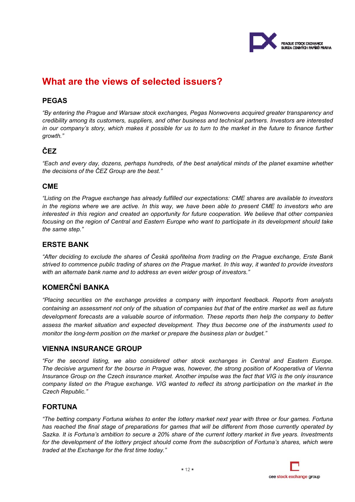

# **What are the views of selected issuers?**

### **PEGAS**

*"By entering the Prague and Warsaw stock exchanges, Pegas Nonwovens acquired greater transparency and credibility among its customers, suppliers, and other business and technical partners. Investors are interested in our company's story, which makes it possible for us to turn to the market in the future to finance further growth."* 

### **ČEZ**

*"Each and every day, dozens, perhaps hundreds, of the best analytical minds of the planet examine whether the decisions of the ČEZ Group are the best."* 

### **CME**

*"Listing on the Prague exchange has already fulfilled our expectations: CME shares are available to investors in the regions where we are active. In this way, we have been able to present CME to investors who are interested in this region and created an opportunity for future cooperation. We believe that other companies focusing on the region of Central and Eastern Europe who want to participate in its development should take the same step."* 

### **ERSTE BANK**

*"After deciding to exclude the shares of Česká spořitelna from trading on the Prague exchange, Erste Bank strived to commence public trading of shares on the Prague market. In this way, it wanted to provide investors with an alternate bank name and to address an even wider group of investors."* 

### **KOMERČNÍ BANKA**

*"Placing securities on the exchange provides a company with important feedback. Reports from analysts containing an assessment not only of the situation of companies but that of the entire market as well as future development forecasts are a valuable source of information. These reports then help the company to better assess the market situation and expected development. They thus become one of the instruments used to monitor the long-term position on the market or prepare the business plan or budget."* 

### **VIENNA INSURANCE GROUP**

*"For the second listing, we also considered other stock exchanges in Central and Eastern Europe. The decisive argument for the bourse in Prague was, however, the strong position of Kooperativa of Vienna Insurance Group on the Czech insurance market. Another impulse was the fact that VIG is the only insurance company listed on the Prague exchange. VIG wanted to reflect its strong participation on the market in the Czech Republic."* 

### **FORTUNA**

*"The betting company Fortuna wishes to enter the lottery market next year with three or four games. Fortuna has reached the final stage of preparations for games that will be different from those currently operated by Sazka. It is Fortuna's ambition to secure a 20% share of the current lottery market in five years. Investments*  for the development of the lottery project should come from the subscription of Fortuna's shares, which were *traded at the Exchange for the first time today."* 

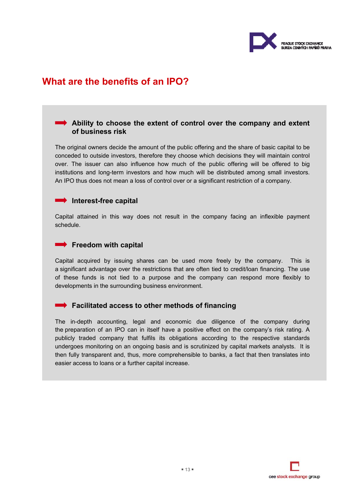

# **What are the benefits of an IPO?**

### **Ability to choose the extent of control over the company and extent of business risk**

The original owners decide the amount of the public offering and the share of basic capital to be conceded to outside investors, therefore they choose which decisions they will maintain control over. The issuer can also influence how much of the public offering will be offered to big institutions and long-term investors and how much will be distributed among small investors. An IPO thus does not mean a loss of control over or a significant restriction of a company.

#### **Interest-free capital**

Capital attained in this way does not result in the company facing an inflexible payment schedule.

#### **Freedom with capital**

Capital acquired by issuing shares can be used more freely by the company. This is a significant advantage over the restrictions that are often tied to credit/loan financing. The use of these funds is not tied to a purpose and the company can respond more flexibly to developments in the surrounding business environment.

### **Facilitated access to other methods of financing**

The in-depth accounting, legal and economic due diligence of the company during the preparation of an IPO can in itself have a positive effect on the company's risk rating. A publicly traded company that fulfils its obligations according to the respective standards undergoes monitoring on an ongoing basis and is scrutinized by capital markets analysts. It is then fully transparent and, thus, more comprehensible to banks, a fact that then translates into easier access to loans or a further capital increase.

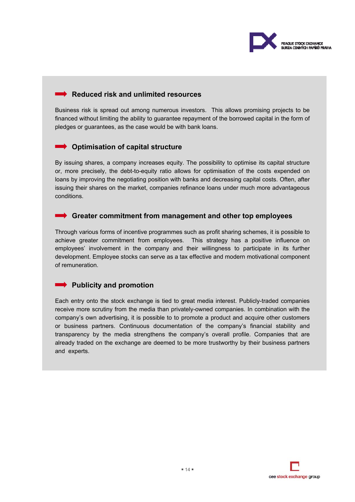

### **Reduced risk and unlimited resources**

Business risk is spread out among numerous investors. This allows promising projects to be financed without limiting the ability to guarantee repayment of the borrowed capital in the form of pledges or guarantees, as the case would be with bank loans.

### **Optimisation of capital structure**

By issuing shares, a company increases equity. The possibility to optimise its capital structure or, more precisely, the debt-to-equity ratio allows for optimisation of the costs expended on loans by improving the negotiating position with banks and decreasing capital costs. Often, after issuing their shares on the market, companies refinance loans under much more advantageous conditions.

### **Greater commitment from management and other top employees**

Through various forms of incentive programmes such as profit sharing schemes, it is possible to achieve greater commitment from employees. This strategy has a positive influence on employees' involvement in the company and their willingness to participate in its further development. Employee stocks can serve as a tax effective and modern motivational component of remuneration.

### **Publicity and promotion**

Each entry onto the stock exchange is tied to great media interest. Publicly-traded companies receive more scrutiny from the media than privately-owned companies. In combination with the company's own advertising, it is possible to to promote a product and acquire other customers or business partners. Continuous documentation of the company's financial stability and transparency by the media strengthens the company's overall profile. Companies that are already traded on the exchange are deemed to be more trustworthy by their business partners and experts.